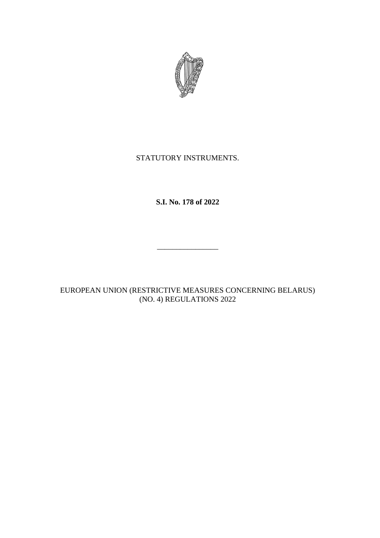

# STATUTORY INSTRUMENTS.

# **S.I. No. 178 of 2022**

\_\_\_\_\_\_\_\_\_\_\_\_\_\_\_\_

EUROPEAN UNION (RESTRICTIVE MEASURES CONCERNING BELARUS) (NO. 4) REGULATIONS 2022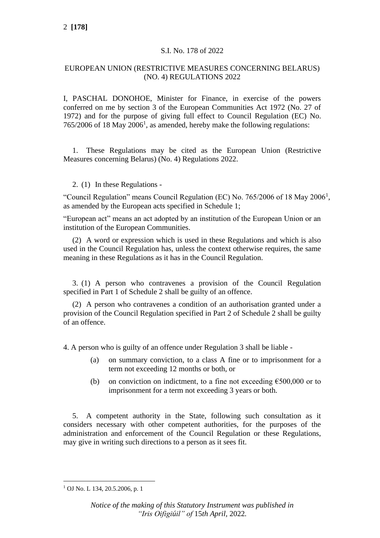### S.I. No. 178 of 2022

# EUROPEAN UNION (RESTRICTIVE MEASURES CONCERNING BELARUS) (NO. 4) REGULATIONS 2022

I, PASCHAL DONOHOE, Minister for Finance, in exercise of the powers conferred on me by section 3 of the European Communities Act 1972 (No. 27 of 1972) and for the purpose of giving full effect to Council Regulation (EC) No.  $765/2006$  of 18 May 2006<sup>1</sup>, as amended, hereby make the following regulations:

1. These Regulations may be cited as the European Union (Restrictive Measures concerning Belarus) (No. 4) Regulations 2022.

### 2. (1) In these Regulations -

"Council Regulation" means Council Regulation (EC) No.  $765/2006$  of 18 May 2006<sup>1</sup>, as amended by the European acts specified in Schedule 1;

"European act" means an act adopted by an institution of the European Union or an institution of the European Communities.

(2) A word or expression which is used in these Regulations and which is also used in the Council Regulation has, unless the context otherwise requires, the same meaning in these Regulations as it has in the Council Regulation.

3. (1) A person who contravenes a provision of the Council Regulation specified in Part 1 of Schedule 2 shall be guilty of an offence.

(2) A person who contravenes a condition of an authorisation granted under a provision of the Council Regulation specified in Part 2 of Schedule 2 shall be guilty of an offence.

4. A person who is guilty of an offence under Regulation 3 shall be liable -

- (a) on summary conviction, to a class A fine or to imprisonment for a term not exceeding 12 months or both, or
- (b) on conviction on indictment, to a fine not exceeding  $\epsilon$ 500,000 or to imprisonment for a term not exceeding 3 years or both.

5. A competent authority in the State, following such consultation as it considers necessary with other competent authorities, for the purposes of the administration and enforcement of the Council Regulation or these Regulations, may give in writing such directions to a person as it sees fit.

<sup>1</sup> OJ No. L 134, 20.5.2006, p. 1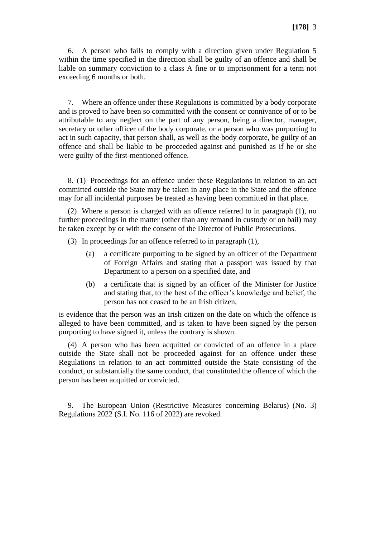6. A person who fails to comply with a direction given under Regulation 5 within the time specified in the direction shall be guilty of an offence and shall be liable on summary conviction to a class A fine or to imprisonment for a term not exceeding 6 months or both.

7. Where an offence under these Regulations is committed by a body corporate and is proved to have been so committed with the consent or connivance of or to be attributable to any neglect on the part of any person, being a director, manager, secretary or other officer of the body corporate, or a person who was purporting to act in such capacity, that person shall, as well as the body corporate, be guilty of an offence and shall be liable to be proceeded against and punished as if he or she were guilty of the first-mentioned offence.

8. (1) Proceedings for an offence under these Regulations in relation to an act committed outside the State may be taken in any place in the State and the offence may for all incidental purposes be treated as having been committed in that place.

(2) Where a person is charged with an offence referred to in paragraph (1), no further proceedings in the matter (other than any remand in custody or on bail) may be taken except by or with the consent of the Director of Public Prosecutions.

- (3) In proceedings for an offence referred to in paragraph (1),
	- (a) a certificate purporting to be signed by an officer of the Department of Foreign Affairs and stating that a passport was issued by that Department to a person on a specified date, and
	- (b) a certificate that is signed by an officer of the Minister for Justice and stating that, to the best of the officer's knowledge and belief, the person has not ceased to be an Irish citizen,

is evidence that the person was an Irish citizen on the date on which the offence is alleged to have been committed, and is taken to have been signed by the person purporting to have signed it, unless the contrary is shown.

(4) A person who has been acquitted or convicted of an offence in a place outside the State shall not be proceeded against for an offence under these Regulations in relation to an act committed outside the State consisting of the conduct, or substantially the same conduct, that constituted the offence of which the person has been acquitted or convicted.

9. The European Union (Restrictive Measures concerning Belarus) (No. 3) Regulations 2022 (S.I. No. 116 of 2022) are revoked.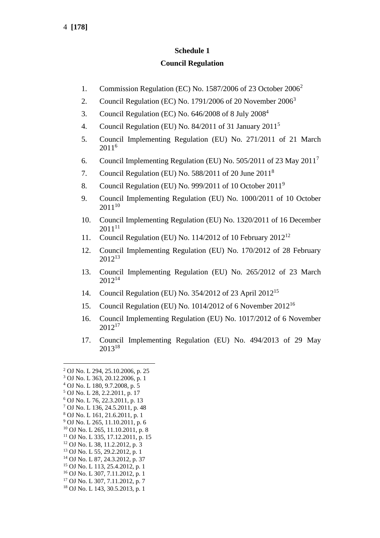# **Schedule 1**

# **Council Regulation**

- 1. Commission Regulation (EC) No. 1587/2006 of 23 October 2006<sup>2</sup>
- 2. Council Regulation (EC) No. 1791/2006 of 20 November  $2006<sup>3</sup>$
- 3. Council Regulation (EC) No. 646/2008 of 8 July 2008<sup>4</sup>
- 4. Council Regulation (EU) No. 84/2011 of 31 January 2011<sup>5</sup>
- 5. Council Implementing Regulation (EU) No. 271/2011 of 21 March 2011<sup>6</sup>
- 6. Council Implementing Regulation (EU) No. 505/2011 of 23 May 2011<sup>7</sup>
- 7. Council Regulation (EU) No. 588/2011 of 20 June 2011<sup>8</sup>
- 8. Council Regulation (EU) No. 999/2011 of 10 October 2011<sup>9</sup>
- 9. Council Implementing Regulation (EU) No. 1000/2011 of 10 October 2011<sup>10</sup>
- 10. Council Implementing Regulation (EU) No. 1320/2011 of 16 December 2011<sup>11</sup>
- 11. Council Regulation (EU) No. 114/2012 of 10 February 2012<sup>12</sup>
- 12. Council Implementing Regulation (EU) No. 170/2012 of 28 February 2012<sup>13</sup>
- 13. Council Implementing Regulation (EU) No. 265/2012 of 23 March 2012<sup>14</sup>
- 14. Council Regulation (EU) No. 354/2012 of 23 April 2012<sup>15</sup>
- 15. Council Regulation (EU) No. 1014/2012 of 6 November 2012<sup>16</sup>
- 16. Council Implementing Regulation (EU) No. 1017/2012 of 6 November  $2012^{17}$
- 17. Council Implementing Regulation (EU) No. 494/2013 of 29 May 2013<sup>18</sup>

<sup>14</sup> OJ No. L 87, 24.3.2012, p. 37

<sup>2</sup> OJ No. L 294, 25.10.2006, p. 25

<sup>3</sup> OJ No. L 363, 20.12.2006, p. 1

<sup>4</sup> OJ No. L 180, 9.7.2008, p. 5

<sup>5</sup> OJ No. L 28, 2.2.2011, p. 17

<sup>6</sup> OJ No. L 76, 22.3.2011, p. 13

<sup>7</sup> OJ No. L 136, 24.5.2011, p. 48

<sup>8</sup> OJ No. L 161, 21.6.2011, p. 1 <sup>9</sup> OJ No. L 265, 11.10.2011, p. 6

<sup>10</sup> OJ No. L 265, 11.10.2011, p. 8

 $11$  OJ No. L 335, 17.12.2011, p. 15

<sup>12</sup> OJ No. L 38, 11.2.2012, p. 3

<sup>13</sup> OJ No. L 55, 29.2.2012, p. 1

<sup>15</sup> OJ No. L 113, 25.4.2012, p. 1

<sup>16</sup> OJ No. L 307, 7.11.2012, p. 1

<sup>17</sup> OJ No. L 307, 7.11.2012, p. 7

<sup>18</sup> OJ No. L 143, 30.5.2013, p. 1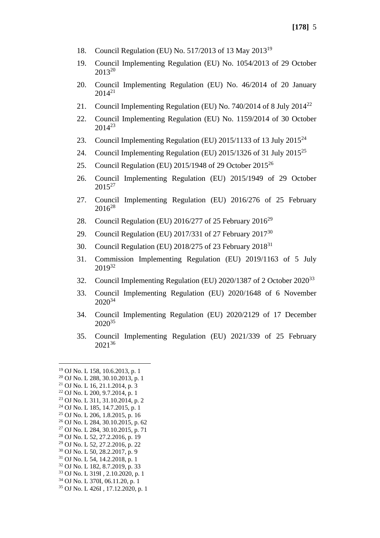- 18. Council Regulation (EU) No. 517/2013 of 13 May 2013<sup>19</sup>
- 19. Council Implementing Regulation (EU) No. 1054/2013 of 29 October  $2013^{20}$
- 20. Council Implementing Regulation (EU) No. 46/2014 of 20 January  $2014^{21}$
- 21. Council Implementing Regulation (EU) No. 740/2014 of 8 July 2014<sup>22</sup>
- 22. Council Implementing Regulation (EU) No. 1159/2014 of 30 October  $2014^{23}$
- 23. Council Implementing Regulation (EU)  $2015/1133$  of 13 July  $2015^{24}$
- 24. Council Implementing Regulation (EU)  $2015/1326$  of 31 July  $2015^{25}$
- 25. Council Regulation (EU)  $2015/1948$  of 29 October  $2015^{26}$
- 26. Council Implementing Regulation (EU) 2015/1949 of 29 October  $2015^{27}$
- 27. Council Implementing Regulation (EU) 2016/276 of 25 February  $2016^{28}$
- 28. Council Regulation (EU) 2016/277 of 25 February 2016<sup>29</sup>
- 29. Council Regulation (EU) 2017/331 of 27 February  $2017^{30}$
- 30. Council Regulation (EU)  $2018/275$  of 23 February  $2018^{31}$
- 31. Commission Implementing Regulation (EU) 2019/1163 of 5 July  $2019^{32}$
- 32. Council Implementing Regulation (EU) 2020/1387 of 2 October 2020<sup>33</sup>
- 33. Council Implementing Regulation (EU) 2020/1648 of 6 November  $2020^{34}$
- 34. Council Implementing Regulation (EU) 2020/2129 of 17 December 2020<sup>35</sup>
- 35. Council Implementing Regulation (EU) 2021/339 of 25 February 2021<sup>36</sup>

<sup>19</sup> OJ No. L 158, 10.6.2013, p. 1

<sup>20</sup> OJ No. L 288, 30.10.2013, p. 1

 $21$  OJ No. L 16, 21, 1, 2014, p. 3

<sup>22</sup> OJ No. L 200, 9.7.2014, p. 1

<sup>23</sup> OJ No. L 311, 31.10.2014, p. 2 <sup>24</sup> OJ No. L 185, 14.7.2015, p. 1

<sup>25</sup> OJ No. L 206, 1.8.2015, p. 16

<sup>26</sup> OJ No. L 284, 30.10.2015, p. 62

<sup>27</sup> OJ No. L 284, 30.10.2015, p. 71

<sup>28</sup> OJ No. L 52, 27.2.2016, p. 19

<sup>29</sup> OJ No. L 52, 27.2.2016, p. 22

<sup>30</sup> OJ No. L 50, 28.2.2017, p. 9

<sup>31</sup> OJ No. L 54, 14.2.2018, p. 1

<sup>32</sup> OJ No. L 182, 8.7.2019, p. 33

<sup>33</sup> OJ No. L 319I , 2.10.2020, p. 1

<sup>34</sup> OJ No. L 370I, 06.11.20, p. 1

<sup>35</sup> OJ No. L 426I , 17.12.2020, p. 1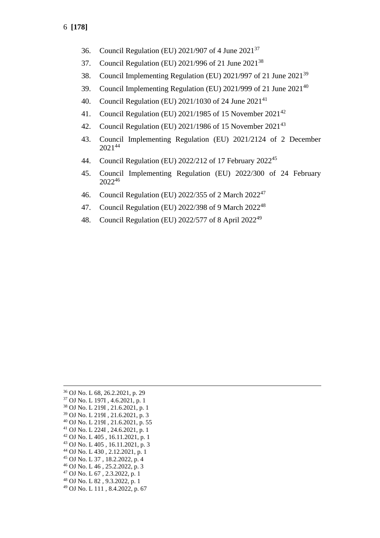- 36. Council Regulation (EU) 2021/907 of 4 June 2021<sup>37</sup>
- 37. Council Regulation (EU) 2021/996 of 21 June 2021<sup>38</sup>
- 38. Council Implementing Regulation (EU) 2021/997 of 21 June 2021<sup>39</sup>
- 39. Council Implementing Regulation (EU) 2021/999 of 21 June 2021<sup>40</sup>
- 40. Council Regulation (EU) 2021/1030 of 24 June 2021<sup>41</sup>
- 41. Council Regulation (EU) 2021/1985 of 15 November 2021<sup>42</sup>
- 42. Council Regulation (EU) 2021/1986 of 15 November 2021<sup>43</sup>
- 43. Council Implementing Regulation (EU) 2021/2124 of 2 December 2021<sup>44</sup>
- 44. Council Regulation (EU) 2022/212 of 17 February 2022<sup>45</sup>
- 45. Council Implementing Regulation (EU) 2022/300 of 24 February 2022<sup>46</sup>
- 46. Council Regulation (EU) 2022/355 of 2 March 2022<sup>47</sup>
- 47. Council Regulation (EU) 2022/398 of 9 March 2022<sup>48</sup>
- 48. Council Regulation (EU) 2022/577 of 8 April 2022<sup>49</sup>

 OJ No. L 68, 26.2.2021, p. 29 OJ No. L 197I , 4.6.2021, p. 1 OJ No. L 219I , 21.6.2021, p. 1 OJ No. L 219I , 21.6.2021, p. 3 OJ No. L 219I , 21.6.2021, p. 55 OJ No. L 224I , 24.6.2021, p. 1 OJ No. L 405 , 16.11.2021, p. 1 OJ No. L 405 , 16.11.2021, p. 3 OJ No. L 430 , 2.12.2021, p. 1 OJ No. L 37 , 18.2.2022, p. 4 OJ No. L 46 , 25.2.2022, p. 3 OJ No. L 67 , 2.3.2022, p. 1 OJ No. L 82 , 9.3.2022, p. 1 OJ No. L 111 , 8.4.2022, p. 67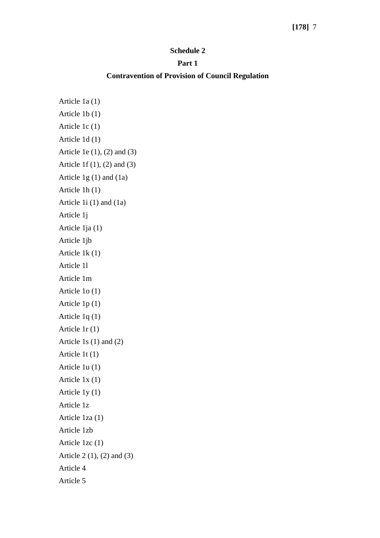### **[178]** 7

#### **Schedule 2**

#### **Part 1**

#### **Contravention of Provision of Council Regulation**

Article 1a (1) Article 1b (1) Article 1c (1) Article 1d (1) Article 1e (1), (2) and (3) Article 1f (1), (2) and (3) Article 1g (1) and (1a) Article 1h (1) Article 1i (1) and (1a) Article 1j Article 1ja (1) Article 1jb Article 1k (1) Article 1l Article 1m Article 1o (1) Article 1p (1) Article 1q (1) Article 1r (1) Article 1s (1) and (2) Article 1t (1) Article 1u (1) Article 1x (1) Article 1y (1) Article 1z Article 1za (1) Article 1zb Article 1zc (1) Article 2 (1), (2) and (3) Article 4 Article 5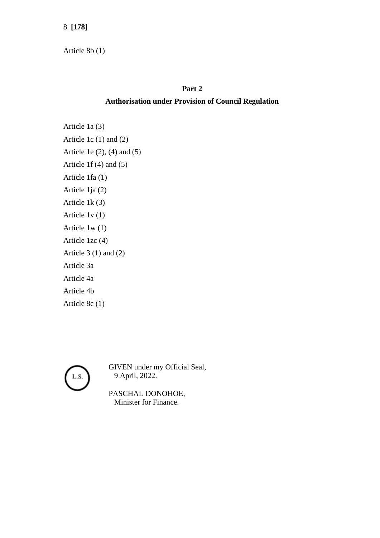Article 8b (1)

## **Part 2**

# **Authorisation under Provision of Council Regulation**

Article 1a (3) Article 1c (1) and (2) Article 1e (2), (4) and (5) Article 1f (4) and (5) Article 1fa (1) Article 1ja (2) Article 1k (3) Article 1v (1) Article 1w (1) Article 1zc (4) Article  $3(1)$  and  $(2)$ Article 3a Article 4a Article 4b Article 8c (1)



GIVEN under my Official Seal, 9 April, 2022.

PASCHAL DONOHOE, Minister for Finance.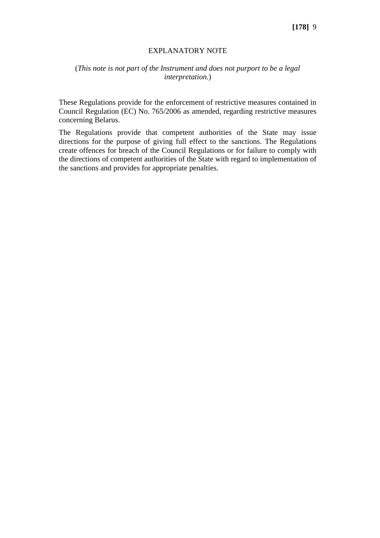#### EXPLANATORY NOTE

### (*This note is not part of the Instrument and does not purport to be a legal interpretation.*)

These Regulations provide for the enforcement of restrictive measures contained in Council Regulation (EC) No. 765/2006 as amended, regarding restrictive measures concerning Belarus.

The Regulations provide that competent authorities of the State may issue directions for the purpose of giving full effect to the sanctions. The Regulations create offences for breach of the Council Regulations or for failure to comply with the directions of competent authorities of the State with regard to implementation of the sanctions and provides for appropriate penalties.